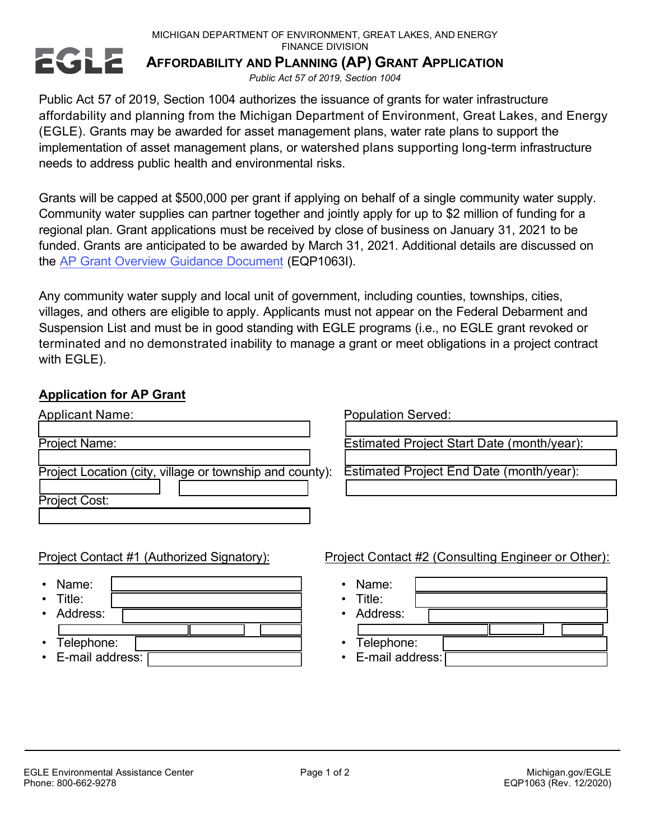MICHIGAN DEPARTMENT OF ENVIRONMENT, GREAT LAKES, AND ENERGY

FINANCE DIVISION



## **AFFORDABILITY AND PLANNING (AP) GRANT APPLICATION**

*Public Act 57 of 2019, Section 1004*

Public Act 57 of 2019, Section 1004 authorizes the issuance of grants for water infrastructure affordability and planning from the Michigan Department of Environment, Great Lakes, and Energy (EGLE). Grants may be awarded for asset management plans, water rate plans to support the implementation of asset management plans, or watershed plans supporting long-term infrastructure needs to address public health and environmental risks.

Grants will be capped at \$500,000 per grant if applying on behalf of a single community water supply. Community water supplies can partner together and jointly apply for up to \$2 million of funding for a regional plan. Grant applications must be received by close of business on January 31, 2021 to be funded. Grants are anticipated to be awarded by March 31, 2021. Additional details are discussed on the AP Grant Overview Guidance [Document](https://www.michigan.gov/documents/egle/egle-fd-fss-Affordability-and-Planning-Grant-Overview_709118_7.pdf) (EQP1063I).

Any community water supply and local unit of government, including counties, townships, cities, villages, and others are eligible to apply. Applicants must not appear on the Federal Debarment and Suspension List and must be in good standing with EGLE programs (i.e., no EGLE grant revoked or terminated and no demonstrated inability to manage a grant or meet obligations in a project contract with EGLE).

## **Application for AP Grant**

| <b>Applicant Name:</b>                                   | <b>Population Served:</b>                  |
|----------------------------------------------------------|--------------------------------------------|
| <b>Project Name:</b>                                     | Estimated Project Start Date (month/year): |
| Project Location (city, village or township and county): | Estimated Project End Date (month/year):   |
| Project Cost:                                            |                                            |
|                                                          |                                            |

- Name:
- Title: Address:
- 
- Telephone:
- E-mail address:

Project Contact #1 (Authorized Signatory): Project Contact #2 (Consulting Engineer or Other):

- Name: • Title: Address: • Telephone:
- E-mail address: